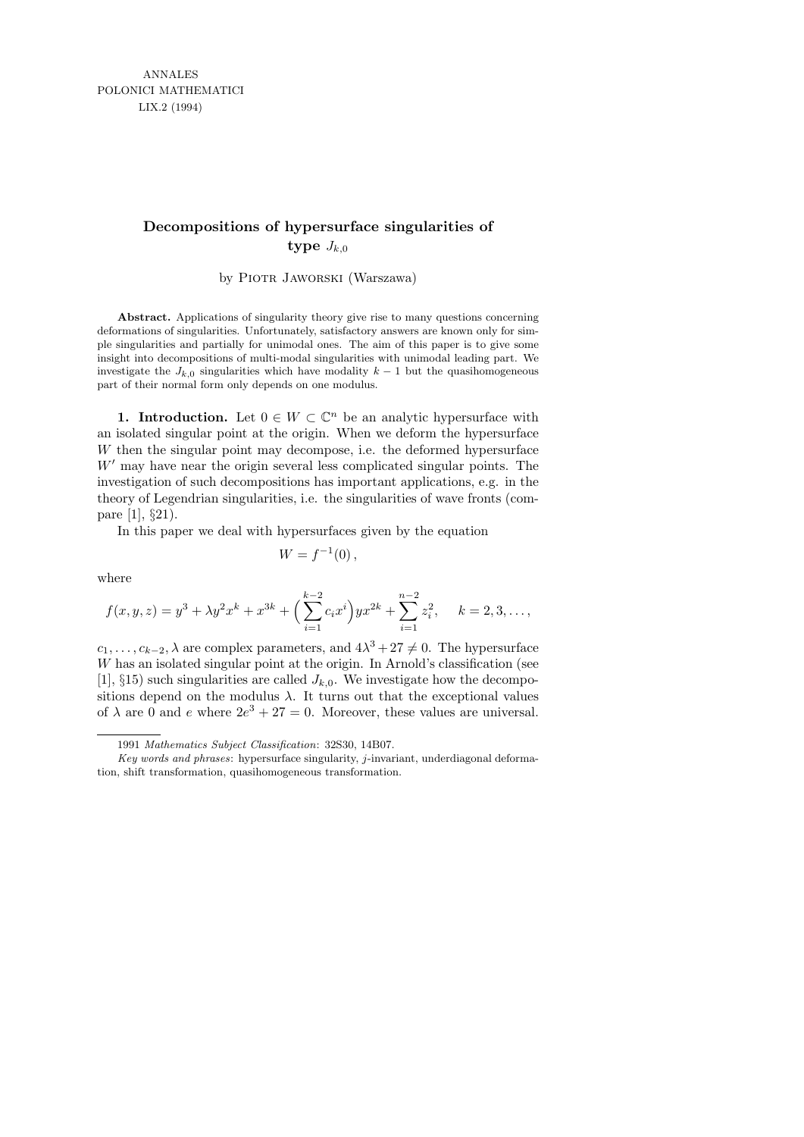# **Decompositions of hypersurface singularities of type**  $J_{k,0}$

by PIOTR JAWORSKI (Warszawa)

**Abstract.** Applications of singularity theory give rise to many questions concerning deformations of singularities. Unfortunately, satisfactory answers are known only for simple singularities and partially for unimodal ones. The aim of this paper is to give some insight into decompositions of multi-modal singularities with unimodal leading part. We investigate the  $J_{k,0}$  singularities which have modality  $k-1$  but the quasihomogeneous part of their normal form only depends on one modulus.

**1. Introduction.** Let  $0 \in W \subset \mathbb{C}^n$  be an analytic hypersurface with an isolated singular point at the origin. When we deform the hypersurface W then the singular point may decompose, i.e. the deformed hypersurface  $W'$  may have near the origin several less complicated singular points. The investigation of such decompositions has important applications, e.g. in the theory of Legendrian singularities, i.e. the singularities of wave fronts (compare [1], §21).

In this paper we deal with hypersurfaces given by the equation

$$
W = f^{-1}(0),
$$

where

$$
f(x, y, z) = y^3 + \lambda y^2 x^k + x^{3k} + \left(\sum_{i=1}^{k-2} c_i x^i\right) y x^{2k} + \sum_{i=1}^{n-2} z_i^2, \quad k = 2, 3, \dots,
$$

 $c_1, \ldots, c_{k-2}, \lambda$  are complex parameters, and  $4\lambda^3 + 27 \neq 0$ . The hypersurface W has an isolated singular point at the origin. In Arnold's classification (see [1],  $\S$ 15) such singularities are called  $J_{k,0}$ . We investigate how the decompositions depend on the modulus  $\lambda$ . It turns out that the exceptional values of  $\lambda$  are 0 and e where  $2e^3 + 27 = 0$ . Moreover, these values are universal.

<sup>1991</sup> *Mathematics Subject Classification*: 32S30, 14B07.

*Key words and phrases*: hypersurface singularity, *j*-invariant, underdiagonal deformation, shift transformation, quasihomogeneous transformation.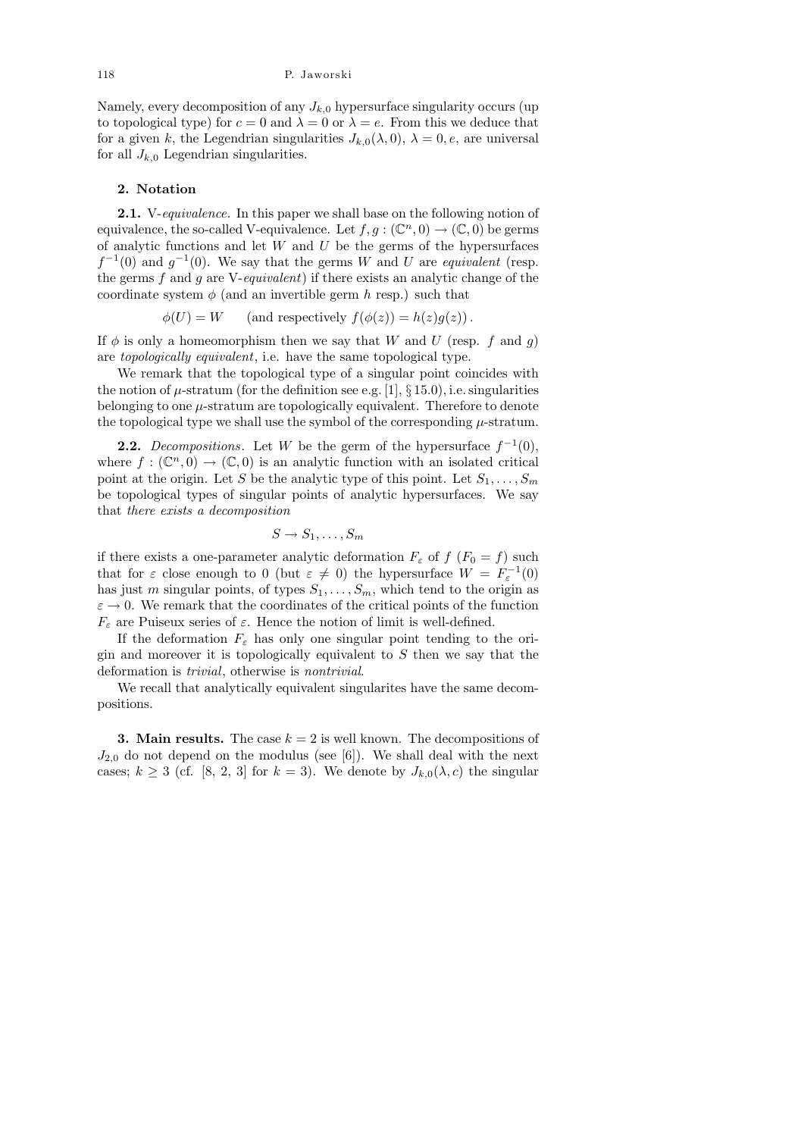Namely, every decomposition of any  $J_{k,0}$  hypersurface singularity occurs (up to topological type) for  $c = 0$  and  $\lambda = 0$  or  $\lambda = e$ . From this we deduce that for a given k, the Legendrian singularities  $J_{k,0}(\lambda,0)$ ,  $\lambda = 0$ , e, are universal for all  $J_{k,0}$  Legendrian singularities.

### 2. Notation

2.1. V-equivalence. In this paper we shall base on the following notion of equivalence, the so-called V-equivalence. Let  $f, g : (\mathbb{C}^n, 0) \to (\mathbb{C}, 0)$  be germs of analytic functions and let  $W$  and  $U$  be the germs of the hypersurfaces  $f^{-1}(0)$  and  $g^{-1}(0)$ . We say that the germs W and U are equivalent (resp. the germs  $f$  and  $g$  are V-equivalent) if there exists an analytic change of the coordinate system  $\phi$  (and an invertible germ h resp.) such that

 $\phi(U) = W$  (and respectively  $f(\phi(z)) = h(z)g(z)$ ).

If  $\phi$  is only a homeomorphism then we say that W and U (resp. f and g) are topologically equivalent, i.e. have the same topological type.

We remark that the topological type of a singular point coincides with the notion of  $\mu$ -stratum (for the definition see e.g. [1], § 15.0), i.e. singularities belonging to one  $\mu$ -stratum are topologically equivalent. Therefore to denote the topological type we shall use the symbol of the corresponding  $\mu$ -stratum.

**2.2.** Decompositions. Let W be the germ of the hypersurface  $f^{-1}(0)$ , where  $f: (\mathbb{C}^n, 0) \to (\mathbb{C}, 0)$  is an analytic function with an isolated critical point at the origin. Let S be the analytic type of this point. Let  $S_1, \ldots, S_m$ be topological types of singular points of analytic hypersurfaces. We say that there exists a decomposition

$$
S \to S_1, \ldots, S_m
$$

if there exists a one-parameter analytic deformation  $F_{\varepsilon}$  of  $f(F_0 = f)$  such that for  $\varepsilon$  close enough to 0 (but  $\varepsilon \neq 0$ ) the hypersurface  $W = F_{\varepsilon}^{-1}(0)$ has just m singular points, of types  $S_1, \ldots, S_m$ , which tend to the origin as  $\varepsilon \to 0$ . We remark that the coordinates of the critical points of the function  $F_{\varepsilon}$  are Puiseux series of  $\varepsilon$ . Hence the notion of limit is well-defined.

If the deformation  $F_{\varepsilon}$  has only one singular point tending to the origin and moreover it is topologically equivalent to  $S$  then we say that the deformation is trivial, otherwise is nontrivial.

We recall that analytically equivalent singularites have the same decompositions.

**3. Main results.** The case  $k = 2$  is well known. The decompositions of  $J_{2,0}$  do not depend on the modulus (see [6]). We shall deal with the next cases;  $k \geq 3$  (cf. [8, 2, 3] for  $k = 3$ ). We denote by  $J_{k,0}(\lambda, c)$  the singular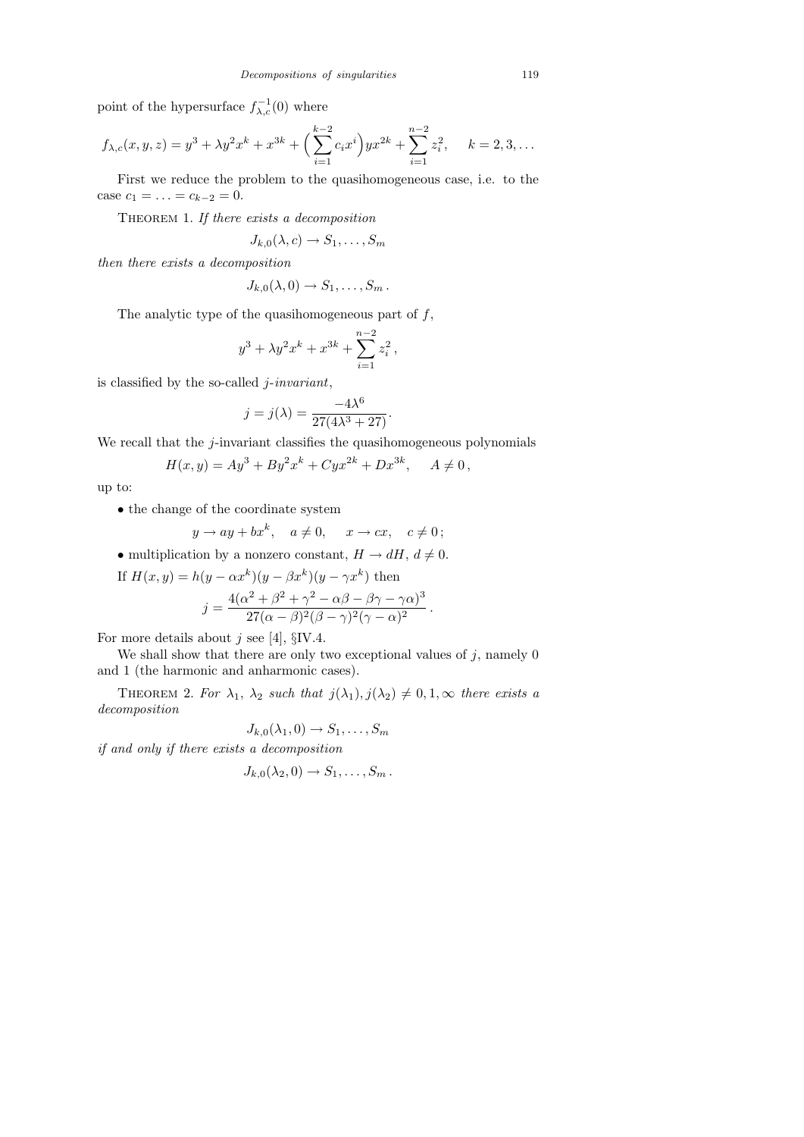point of the hypersurface  $f_{\lambda,c}^{-1}(0)$  where

$$
f_{\lambda,c}(x,y,z) = y^3 + \lambda y^2 x^k + x^{3k} + \left(\sum_{i=1}^{k-2} c_i x^i\right) y x^{2k} + \sum_{i=1}^{n-2} z_i^2, \quad k = 2, 3, \dots
$$

First we reduce the problem to the quasihomogeneous case, i.e. to the case  $c_1 = \ldots = c_{k-2} = 0$ .

THEOREM 1. If there exists a decomposition

$$
J_{k,0}(\lambda, c) \to S_1, \ldots, S_m
$$

then there exists a decomposition

$$
J_{k,0}(\lambda,0)\to S_1,\ldots,S_m.
$$

The analytic type of the quasihomogeneous part of  $f$ ,

$$
y^3 + \lambda y^2 x^k + x^{3k} + \sum_{i=1}^{n-2} z_i^2,
$$

is classified by the so-called  $j$ -invariant,

$$
j = j(\lambda) = \frac{-4\lambda^6}{27(4\lambda^3 + 27)}.
$$

We recall that the  $j$ -invariant classifies the quasihomogeneous polynomials

$$
H(x,y) = Ay3 + By2xk + Cyx2k + Dx3k, A \neq 0,
$$

up to:

 $\bullet$  the change of the coordinate system

$$
y \to ay + bx^k, \quad a \neq 0, \quad x \to cx, \quad c \neq 0;
$$

• multiplication by a nonzero constant,  $H \to dH$ ,  $d \neq 0$ .

If 
$$
H(x, y) = h(y - \alpha x^k)(y - \beta x^k)(y - \gamma x^k)
$$
 then  
\n
$$
j = \frac{4(\alpha^2 + \beta^2 + \gamma^2 - \alpha \beta - \beta \gamma - \gamma \alpha)^3}{27(\alpha - \beta)^2(\beta - \gamma)^2(\gamma - \alpha)^2}.
$$

For more details about  $j$  see [4],  $\S$ IV.4.

We shall show that there are only two exceptional values of  $j$ , namely 0 and 1 (the harmonic and anharmonic cases).

THEOREM 2. For  $\lambda_1$ ,  $\lambda_2$  such that  $j(\lambda_1), j(\lambda_2) \neq 0, 1, \infty$  there exists a decomposition

$$
J_{k,0}(\lambda_1,0) \to S_1,\ldots,S_m
$$

if and only if there exists a decomposition

$$
J_{k,0}(\lambda_2,0)\to S_1,\ldots,S_m.
$$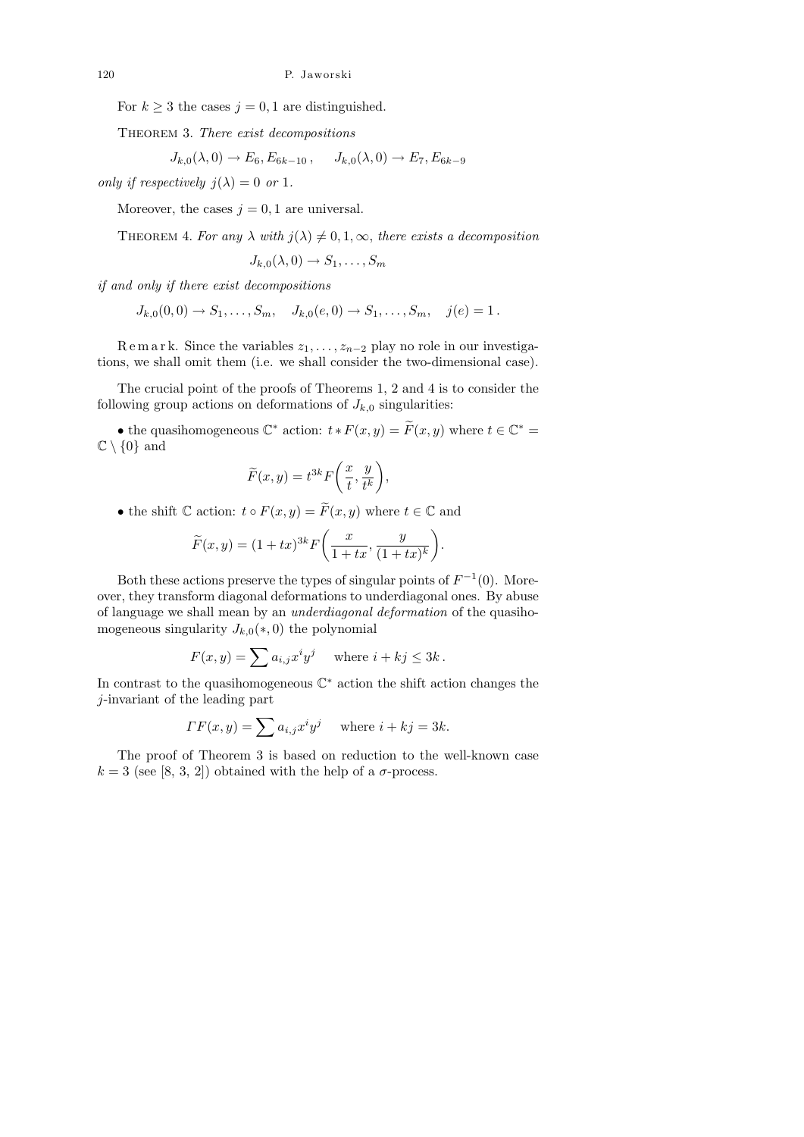For  $k \geq 3$  the cases  $j = 0, 1$  are distinguished.

THEOREM 3. There exist decompositions

$$
J_{k,0}(\lambda,0) \to E_6, E_{6k-10}, \quad J_{k,0}(\lambda,0) \to E_7, E_{6k-9}
$$

only if respectively  $i(\lambda) = 0$  or 1.

Moreover, the cases  $j = 0, 1$  are universal.

THEOREM 4. For any  $\lambda$  with  $j(\lambda) \neq 0, 1, \infty$ , there exists a decomposition

$$
J_{k,0}(\lambda,0)\to S_1,\ldots,S_m
$$

if and only if there exist decompositions

 $J_{k,0}(0,0) \to S_1, \ldots, S_m, \quad J_{k,0}(e,0) \to S_1, \ldots, S_m, \quad j(e) = 1$ .

R e m a r k. Since the variables  $z_1, \ldots, z_{n-2}$  play no role in our investigations, we shall omit them (i.e. we shall consider the two-dimensional case).

The crucial point of the proofs of Theorems 1, 2 and 4 is to consider the following group actions on deformations of  $J_{k,0}$  singularities:

• the quasihomogeneous  $\mathbb{C}^*$  action:  $t * F(x, y) = \widetilde{F}(x, y)$  where  $t \in \mathbb{C}^* =$  $\mathbb{C}\setminus\{0\}$  and

$$
\widetilde{F}(x,y) = t^{3k} F\bigg(\frac{x}{t}, \frac{y}{t^k}\bigg),
$$

• the shift  $\mathbb C$  action:  $t \circ F(x, y) = \widetilde{F}(x, y)$  where  $t \in \mathbb C$  and

$$
\widetilde{F}(x,y) = (1+tx)^{3k} F\left(\frac{x}{1+tx}, \frac{y}{(1+tx)^k}\right).
$$

Both these actions preserve the types of singular points of  $F^{-1}(0)$ . Moreover, they transform diagonal deformations to underdiagonal ones. By abuse of language we shall mean by an underdiagonal deformation of the quasihomogeneous singularity  $J_{k,0}(*,0)$  the polynomial

$$
F(x, y) = \sum a_{i,j} x^i y^j \quad \text{where } i + kj \le 3k.
$$

In contrast to the quasihomogeneous  $\mathbb{C}^*$  action the shift action changes the j-invariant of the leading part

$$
\Gamma F(x, y) = \sum a_{i,j} x^i y^j \quad \text{where } i + kj = 3k.
$$

The proof of Theorem 3 is based on reduction to the well-known case  $k = 3$  (see [8, 3, 2]) obtained with the help of a  $\sigma$ -process.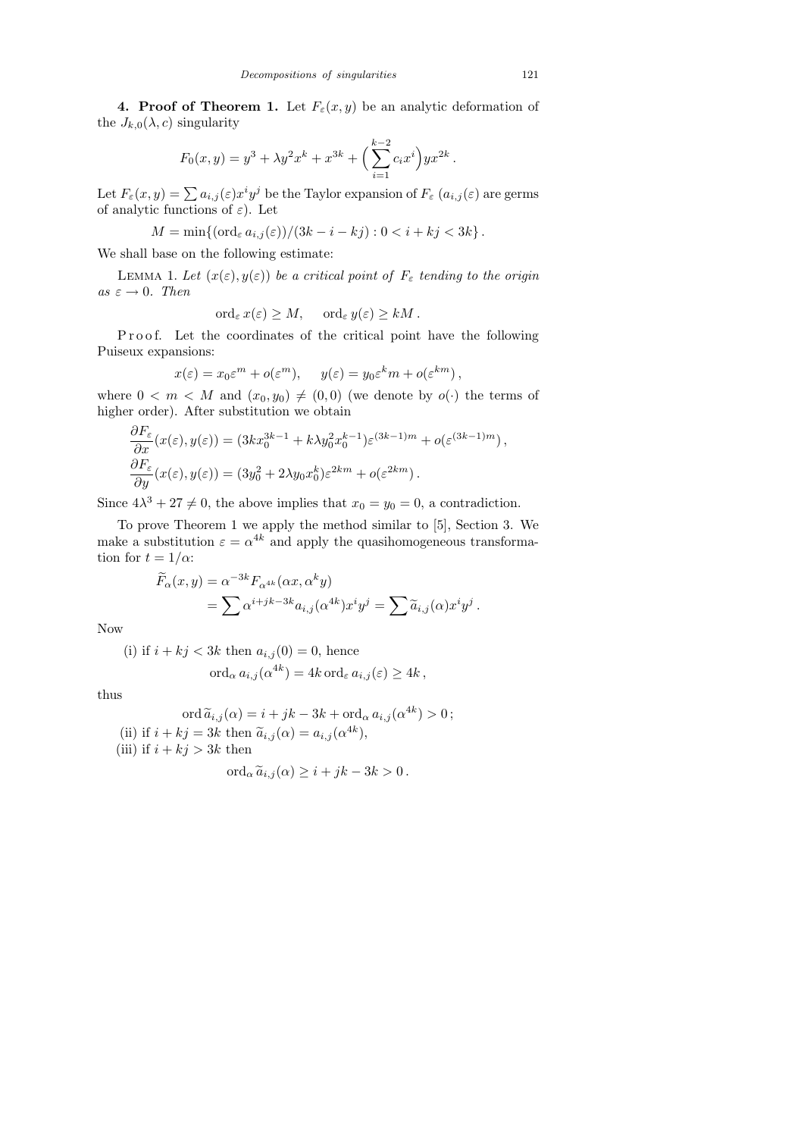4. Proof of Theorem 1. Let  $F_{\varepsilon}(x, y)$  be an analytic deformation of the  $J_{k,0}(\lambda, c)$  singularity

$$
F_0(x, y) = y^3 + \lambda y^2 x^k + x^{3k} + \left(\sum_{i=1}^{k-2} c_i x^i\right) y x^{2k}.
$$

Let  $F_{\varepsilon}(x,y) = \sum a_{i,j}(\varepsilon) x^i y^j$  be the Taylor expansion of  $F_{\varepsilon}(a_{i,j}(\varepsilon))$  are germs of analytic functions of  $\varepsilon$ ). Let

$$
M = \min\{(\text{ord}_{\varepsilon} a_{i,j}(\varepsilon))/(3k - i - kj) : 0 < i + kj < 3k\}.
$$

We shall base on the following estimate:

LEMMA 1. Let  $(x(\varepsilon), y(\varepsilon))$  be a critical point of  $F_{\varepsilon}$  tending to the origin as  $\varepsilon \to 0$ . Then

$$
\operatorname{ord}_{\varepsilon} x(\varepsilon) \ge M, \quad \operatorname{ord}_{\varepsilon} y(\varepsilon) \ge kM.
$$

Proof. Let the coordinates of the critical point have the following Puiseux expansions:

$$
x(\varepsilon) = x_0 \varepsilon^m + o(\varepsilon^m), \quad y(\varepsilon) = y_0 \varepsilon^k m + o(\varepsilon^{km}),
$$

where  $0 < m < M$  and  $(x_0, y_0) \neq (0, 0)$  (we denote by  $o(\cdot)$  the terms of higher order). After substitution we obtain

$$
\frac{\partial F_{\varepsilon}}{\partial x}(x(\varepsilon), y(\varepsilon)) = (3kx_0^{3k-1} + k\lambda y_0^2 x_0^{k-1})\varepsilon^{(3k-1)m} + o(\varepsilon^{(3k-1)m}),
$$
  

$$
\frac{\partial F_{\varepsilon}}{\partial y}(x(\varepsilon), y(\varepsilon)) = (3y_0^2 + 2\lambda y_0 x_0^k)\varepsilon^{2km} + o(\varepsilon^{2km}).
$$

Since  $4\lambda^3 + 27 \neq 0$ , the above implies that  $x_0 = y_0 = 0$ , a contradiction.

To prove Theorem 1 we apply the method similar to [5], Section 3. We make a substitution  $\varepsilon = \alpha^{4k}$  and apply the quasihomogeneous transformation for  $t = 1/\alpha$ :

$$
\widetilde{F}_{\alpha}(x,y) = \alpha^{-3k} F_{\alpha^{4k}}(\alpha x, \alpha^k y) \n= \sum \alpha^{i+jk-3k} a_{i,j} (\alpha^{4k}) x^i y^j = \sum \widetilde{a}_{i,j}(\alpha) x^i y^j.
$$

Now

(i) if  $i + kj < 3k$  then  $a_{i,j}(0) = 0$ , hence

$$
\operatorname{ord}_{\alpha} a_{i,j}(\alpha^{4k}) = 4k \operatorname{ord}_{\varepsilon} a_{i,j}(\varepsilon) \ge 4k,
$$

thus

$$
\operatorname{ord}\widetilde{a}_{i,j}(\alpha) = i + jk - 3k + \operatorname{ord}_{\alpha} a_{i,j}(\alpha^{4k}) > 0;
$$
  
(ii) if  $i + kj = 3k$  then  $\widetilde{a}_{i,j}(\alpha) = a_{i,j}(\alpha^{4k}),$   
(iii) if  $i + kj > 3k$  then

$$
\mathrm{ord}_{\alpha}\widetilde{a}_{i,j}(\alpha)\geq i+jk-3k>0.
$$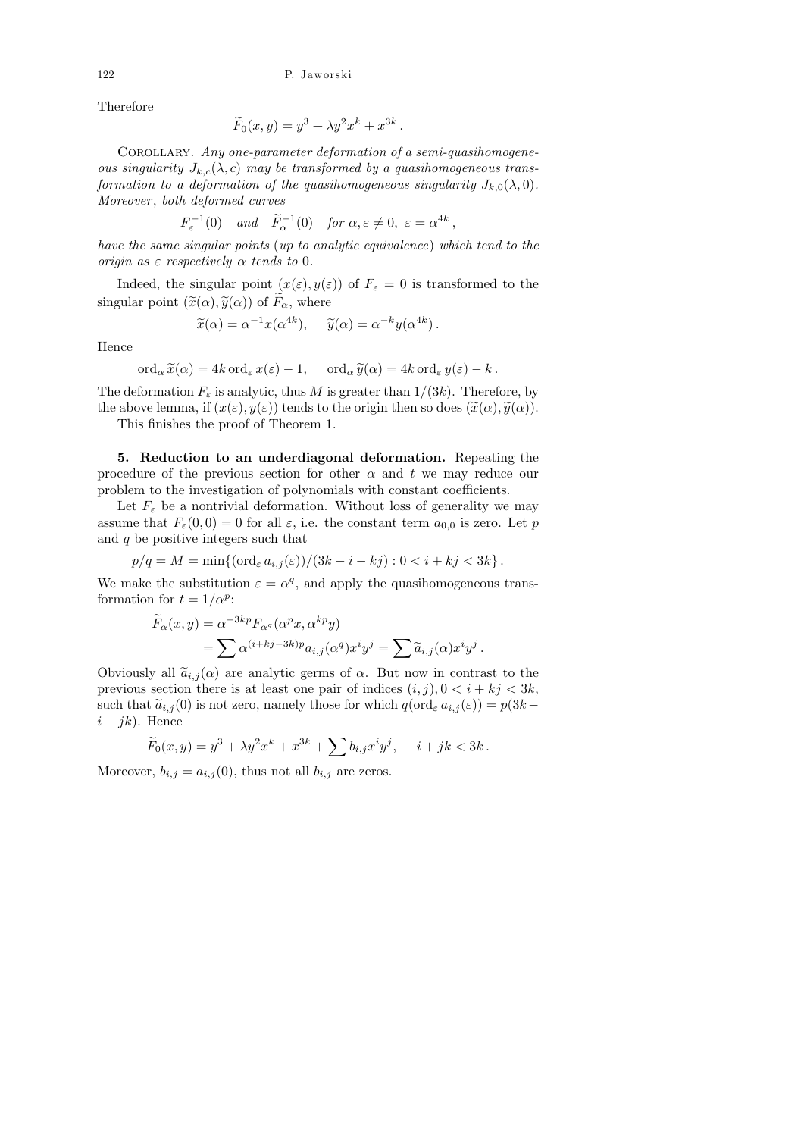Therefore

$$
\widetilde{F}_0(x,y) = y^3 + \lambda y^2 x^k + x^{3k}
$$

.

COROLLARY. Any one-parameter deformation of a semi-quasihomogeneous singularity  $J_{k,c}(\lambda, c)$  may be transformed by a quasihomogeneous transformation to a deformation of the quasihomogeneous singularity  $J_{k,0}(\lambda, 0)$ . Moreover, both deformed curves

$$
F_{\varepsilon}^{-1}(0)
$$
 and  $\widetilde{F}_{\alpha}^{-1}(0)$  for  $\alpha, \varepsilon \neq 0, \varepsilon = \alpha^{4k}$ ,

have the same singular points (up to analytic equivalence) which tend to the origin as  $\varepsilon$  respectively  $\alpha$  tends to 0.

Indeed, the singular point  $(x(\varepsilon), y(\varepsilon))$  of  $F_{\varepsilon} = 0$  is transformed to the singular point  $(\tilde{x}(\alpha), \tilde{y}(\alpha))$  of  $\tilde{F}_{\alpha}$ , where

$$
\widetilde{x}(\alpha) = \alpha^{-1} x(\alpha^{4k}), \quad \widetilde{y}(\alpha) = \alpha^{-k} y(\alpha^{4k}).
$$

Hence

$$
\operatorname{ord}_{\alpha} \widetilde{x}(\alpha) = 4k \operatorname{ord}_{\varepsilon} x(\varepsilon) - 1, \quad \operatorname{ord}_{\alpha} \widetilde{y}(\alpha) = 4k \operatorname{ord}_{\varepsilon} y(\varepsilon) - k.
$$

The deformation  $F_{\varepsilon}$  is analytic, thus M is greater than  $1/(3k)$ . Therefore, by the above lemma, if  $(x(\varepsilon), y(\varepsilon))$  tends to the origin then so does  $(\tilde{x}(\alpha), \tilde{y}(\alpha))$ .

This finishes the proof of Theorem 1.

5. Reduction to an underdiagonal deformation. Repeating the procedure of the previous section for other  $\alpha$  and t we may reduce our problem to the investigation of polynomials with constant coefficients.

Let  $F_{\varepsilon}$  be a nontrivial deformation. Without loss of generality we may assume that  $F_{\varepsilon}(0,0) = 0$  for all  $\varepsilon$ , i.e. the constant term  $a_{0,0}$  is zero. Let p and  $q$  be positive integers such that

$$
p/q = M = \min\{(\text{ord}_{\varepsilon} a_{i,j}(\varepsilon))/(3k - i - kj) : 0 < i + kj < 3k\}.
$$

We make the substitution  $\varepsilon = \alpha^q$ , and apply the quasihomogeneous transformation for  $t = 1/\alpha^p$ :

$$
\widetilde{F}_{\alpha}(x,y) = \alpha^{-3kp} F_{\alpha^q}(\alpha^p x, \alpha^{kp} y) \n= \sum \alpha^{(i+kj-3k)p} a_{i,j}(\alpha^q) x^i y^j = \sum \widetilde{a}_{i,j}(\alpha) x^i y^j.
$$

Obviously all  $\tilde{a}_{i,j}(\alpha)$  are analytic germs of  $\alpha$ . But now in contrast to the previous section there is at least one pair of indices  $(i, j), 0 < i + kj < 3k$ , such that  $\tilde{a}_{i,j}(0)$  is not zero, namely those for which  $q(\text{ord}_{\varepsilon} a_{i,j}(\varepsilon)) = p(3k-1)$  $i - jk$ ). Hence

$$
\widetilde{F}_0(x,y) = y^3 + \lambda y^2 x^k + x^{3k} + \sum b_{i,j} x^i y^j, \quad i+jk < 3k.
$$

Moreover,  $b_{i,j} = a_{i,j}(0)$ , thus not all  $b_{i,j}$  are zeros.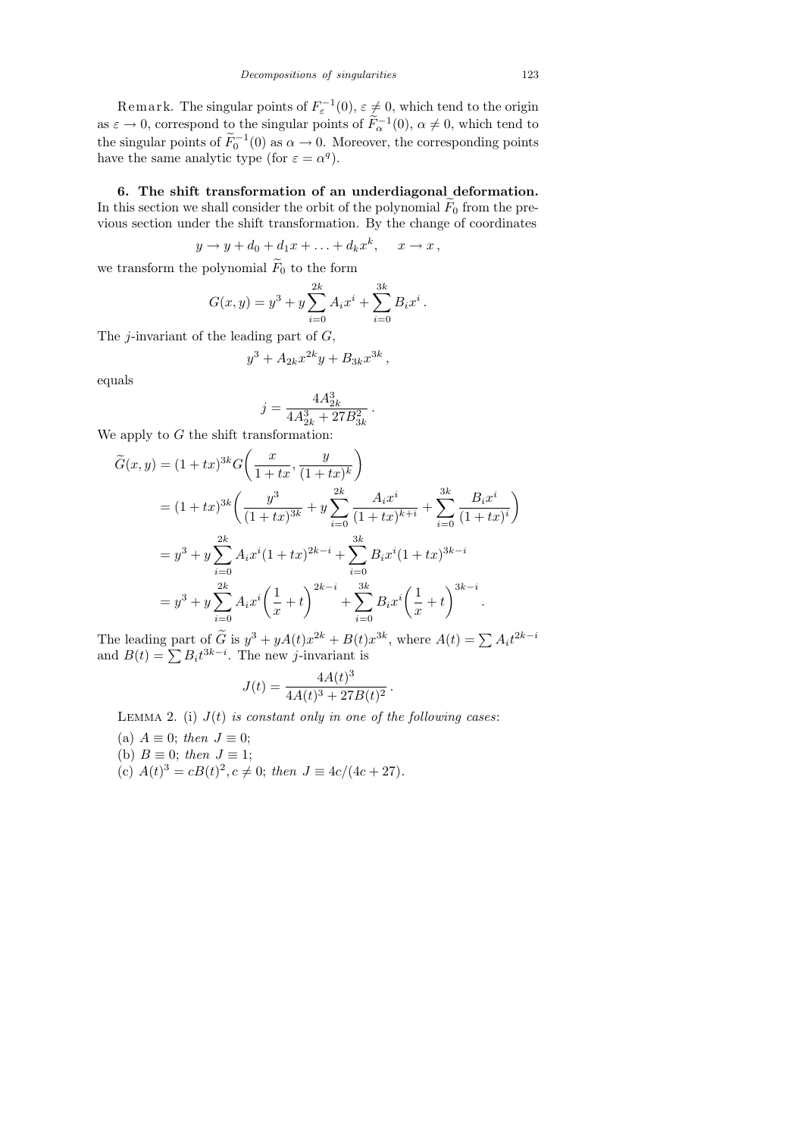Remark. The singular points of  $F_{\varepsilon}^{-1}(0)$ ,  $\varepsilon \neq 0$ , which tend to the origin as  $\varepsilon \to 0$ , correspond to the singular points of  $\tilde{F}_{\alpha}^{-1}(0)$ ,  $\alpha \neq 0$ , which tend to the singular points of  $\widetilde{F}_0^{-1}(0)$  as  $\alpha \to 0$ . Moreover, the corresponding points have the same analytic type (for  $\varepsilon = \alpha^q$ ).

6. The shift transformation of an underdiagonal deformation. In this section we shall consider the orbit of the polynomial  $F_0$  from the previous section under the shift transformation. By the change of coordinates

$$
y \to y + d_0 + d_1 x + \ldots + d_k x^k, \quad x \to x \,,
$$

we transform the polynomial  $\widetilde{F}_0$  to the form

$$
G(x, y) = y3 + y \sum_{i=0}^{2k} A_i x^{i} + \sum_{i=0}^{3k} B_i x^{i}.
$$

The *j*-invariant of the leading part of  $G$ ,

$$
y^3 + A_{2k}x^{2k}y + B_{3k}x^{3k},
$$

equals

$$
j = \frac{4A_{2k}^3}{4A_{2k}^3 + 27B_{3k}^2} \, .
$$

We apply to  $G$  the shift transformation:

$$
\widetilde{G}(x,y) = (1+tx)^{3k} G\left(\frac{x}{1+tx}, \frac{y}{(1+tx)^k}\right)
$$
\n
$$
= (1+tx)^{3k} \left(\frac{y^3}{(1+tx)^{3k}} + y \sum_{i=0}^{2k} \frac{A_i x^i}{(1+tx)^{k+i}} + \sum_{i=0}^{3k} \frac{B_i x^i}{(1+tx)^i}\right)
$$
\n
$$
= y^3 + y \sum_{i=0}^{2k} A_i x^i (1+tx)^{2k-i} + \sum_{i=0}^{3k} B_i x^i (1+tx)^{3k-i}
$$
\n
$$
= y^3 + y \sum_{i=0}^{2k} A_i x^i \left(\frac{1}{x} + t\right)^{2k-i} + \sum_{i=0}^{3k} B_i x^i \left(\frac{1}{x} + t\right)^{3k-i}
$$

The leading part of  $\tilde{G}$  is  $y^3 + yA(t)x^{2k} + B(t)x^{3k}$ , where  $A(t) = \sum A_i t^{2k-i}$ and  $B(t) = \sum B_i t^{3k-i}$ . The new j-invariant is

$$
J(t) = \frac{4A(t)^3}{4A(t)^3 + 27B(t)^2}
$$

.

LEMMA 2. (i)  $J(t)$  is constant only in one of the following cases:

- (a)  $A \equiv 0$ ; then  $J \equiv 0$ ;
- (b)  $B \equiv 0$ ; then  $J \equiv 1$ ;
- (c)  $A(t)^3 = cB(t)^2, c \neq 0$ ; then  $J = 4c/(4c + 27)$ .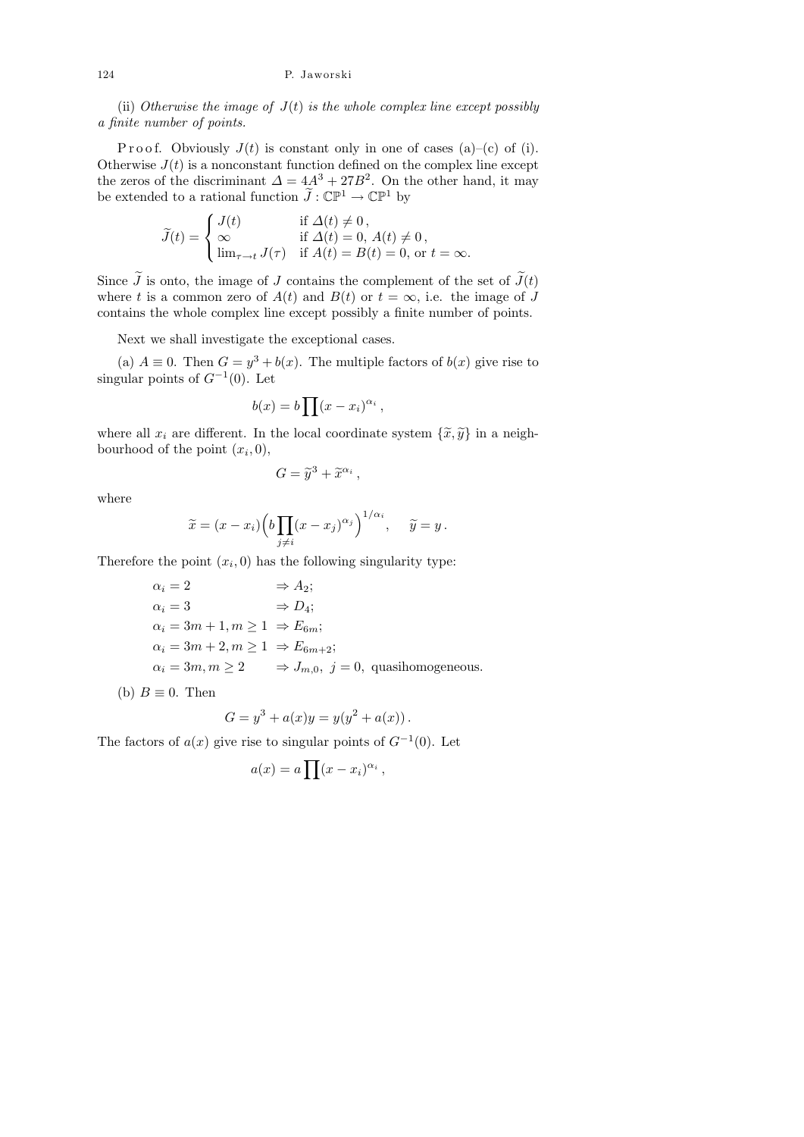(ii) Otherwise the image of  $J(t)$  is the whole complex line except possibly a finite number of points.

P r o o f. Obviously  $J(t)$  is constant only in one of cases (a)–(c) of (i). Otherwise  $J(t)$  is a nonconstant function defined on the complex line except the zeros of the discriminant  $\Delta = 4A^3 + 27B^2$ . On the other hand, it may be extended to a rational function  $\widetilde{J}: \mathbb{CP}^1 \to \mathbb{CP}^1$  by

$$
\widetilde{J}(t) = \begin{cases}\nJ(t) & \text{if } \Delta(t) \neq 0, \\
\infty & \text{if } \Delta(t) = 0, A(t) \neq 0, \\
\lim_{\tau \to t} J(\tau) & \text{if } A(t) = B(t) = 0, \text{ or } t = \infty.\n\end{cases}
$$

Since  $\tilde{J}$  is onto, the image of J contains the complement of the set of  $\tilde{J}(t)$ where t is a common zero of  $A(t)$  and  $B(t)$  or  $t = \infty$ , i.e. the image of J contains the whole complex line except possibly a finite number of points.

Next we shall investigate the exceptional cases.

(a)  $A \equiv 0$ . Then  $G = y^3 + b(x)$ . The multiple factors of  $b(x)$  give rise to singular points of  $G^{-1}(0)$ . Let

$$
b(x) = b \prod (x - x_i)^{\alpha_i},
$$

where all  $x_i$  are different. In the local coordinate system  $\{\tilde{x}, \tilde{y}\}$  in a neighbourhood of the point  $(x_i, 0)$ ,

$$
G=\widetilde{y}^3+\widetilde{x}^{\alpha_i}\,,
$$

where

$$
\widetilde{x} = (x - x_i) \left( b \prod_{j \neq i} (x - x_j)^{\alpha_j} \right)^{1/\alpha_i}, \quad \widetilde{y} = y.
$$

Therefore the point  $(x_i, 0)$  has the following singularity type:

$$
\alpha_i = 2 \qquad \Rightarrow A_2;
$$
  
\n
$$
\alpha_i = 3 \qquad \Rightarrow D_4;
$$
  
\n
$$
\alpha_i = 3m + 1, m \ge 1 \Rightarrow E_{6m};
$$
  
\n
$$
\alpha_i = 3m + 2, m \ge 1 \Rightarrow E_{6m+2};
$$
  
\n
$$
\alpha_i = 3m, m \ge 2 \qquad \Rightarrow J_{m,0}, j = 0, \text{ quasihomogeneous.}
$$

(b)  $B \equiv 0$ . Then

$$
G = y^3 + a(x)y = y(y^2 + a(x)).
$$

The factors of  $a(x)$  give rise to singular points of  $G^{-1}(0)$ . Let

$$
a(x) = a \prod (x - x_i)^{\alpha_i},
$$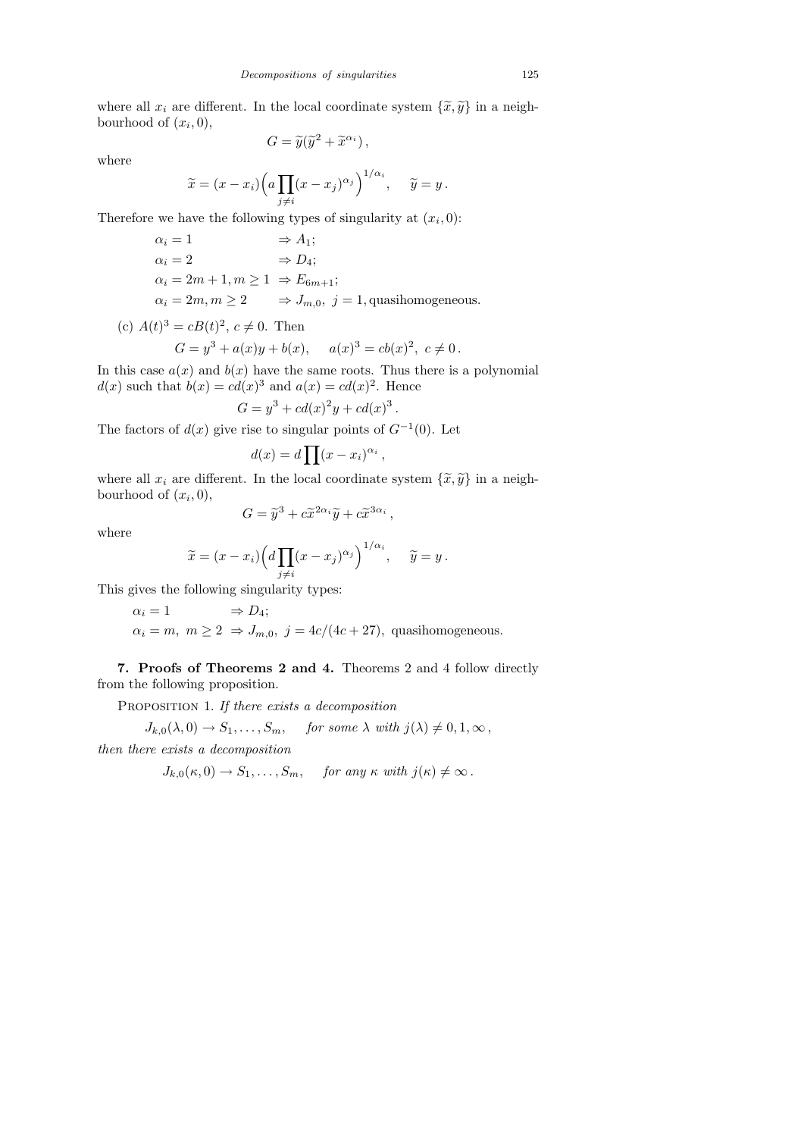where all  $x_i$  are different. In the local coordinate system  $\{\tilde{x}, \tilde{y}\}$  in a neighbourhood of  $(x_i, 0)$ ,

where

$$
G = \tilde{y}(\tilde{y}^2 + \tilde{x}^{\alpha_i}),
$$
  

$$
\tilde{x} = (x - x_i) \left( a \prod_{j \neq i} (x - x_j)^{\alpha_j} \right)^{1/\alpha_i}, \quad \tilde{y} =
$$

Therefore we have the following types of singularity at  $(x_i, 0)$ :

$$
\alpha_i = 1 \Rightarrow A_1;
$$
  
\n
$$
\alpha_i = 2 \Rightarrow D_4;
$$
  
\n
$$
\alpha_i = 2m + 1, m \ge 1 \Rightarrow E_{6m+1};
$$
  
\n
$$
\alpha_i = 2m, m \ge 2 \Rightarrow J_{m,0}, j = 1
$$
, quasihomogeneous.

(c)  $A(t)^3 = cB(t)^2$ ,  $c \neq 0$ . Then

$$
G = y3 + a(x)y + b(x), \quad a(x)3 = cb(x)2, \ c \neq 0.
$$

In this case  $a(x)$  and  $b(x)$  have the same roots. Thus there is a polynomial  $d(x)$  such that  $b(x) = cd(x)^3$  and  $a(x) = cd(x)^2$ . Hence

$$
G = y^3 + cd(x)^2y + cd(x)^3.
$$

The factors of  $d(x)$  give rise to singular points of  $G^{-1}(0)$ . Let

$$
d(x) = d \prod (x - x_i)^{\alpha_i},
$$

where all  $x_i$  are different. In the local coordinate system  $\{\tilde{x}, \tilde{y}\}$  in a neighbourhood of  $(x_i, 0)$ ,

,

$$
G = \tilde{y}^3 + c\tilde{x}^{2\alpha_i}\tilde{y} + c\tilde{x}^{3\alpha_i}
$$

where

$$
\widetilde{x} = (x - x_i) \left( d \prod_{j \neq i} (x - x_j)^{\alpha_j} \right)^{1/\alpha_i}, \quad \widetilde{y} = y.
$$

This gives the following singularity types:

$$
\alpha_i = 1
$$
  $\Rightarrow D_4;$   
\n $\alpha_i = m, m \ge 2 \Rightarrow J_{m,0}, j = 4c/(4c + 27)$ , quasihomogeneous.

7. Proofs of Theorems 2 and 4. Theorems 2 and 4 follow directly from the following proposition.

PROPOSITION 1. If there exists a decomposition

$$
J_{k,0}(\lambda,0) \to S_1,\ldots,S_m
$$
, for some  $\lambda$  with  $j(\lambda) \neq 0,1,\infty$ ,

then there exists a decomposition

$$
J_{k,0}(\kappa,0) \to S_1,\ldots,S_m, \quad \text{for any } \kappa \text{ with } j(\kappa) \neq \infty.
$$

 $\boldsymbol{y}$  .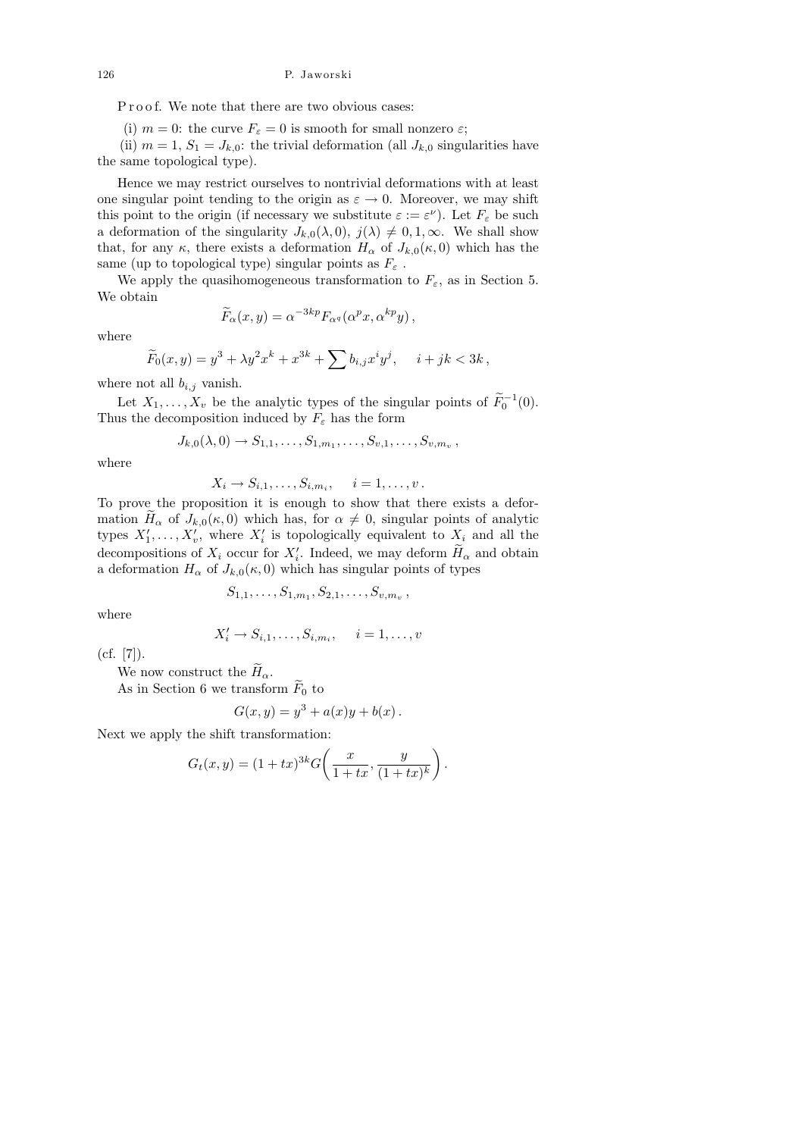P r o o f. We note that there are two obvious cases:

(i)  $m = 0$ : the curve  $F_{\varepsilon} = 0$  is smooth for small nonzero  $\varepsilon$ ;

(ii)  $m = 1, S_1 = J_{k,0}$ : the trivial deformation (all  $J_{k,0}$  singularities have the same topological type).

Hence we may restrict ourselves to nontrivial deformations with at least one singular point tending to the origin as  $\varepsilon \to 0$ . Moreover, we may shift this point to the origin (if necessary we substitute  $\varepsilon := \varepsilon^{\nu}$ ). Let  $F_{\varepsilon}$  be such a deformation of the singularity  $J_{k,0}(\lambda, 0), j(\lambda) \neq 0, 1, \infty$ . We shall show that, for any  $\kappa$ , there exists a deformation  $H_{\alpha}$  of  $J_{k,0}(\kappa,0)$  which has the same (up to topological type) singular points as  $F_{\varepsilon}$ .

We apply the quasihomogeneous transformation to  $F_{\varepsilon}$ , as in Section 5. We obtain

$$
\widetilde{F}_{\alpha}(x,y) = \alpha^{-3kp} F_{\alpha^q}(\alpha^p x, \alpha^{kp} y),
$$

where

$$
\widetilde{F}_0(x,y) = y^3 + \lambda y^2 x^k + x^{3k} + \sum b_{i,j} x^i y^j, \quad i+jk < 3k,
$$

where not all  $b_{i,j}$  vanish.

Let  $X_1, \ldots, X_v$  be the analytic types of the singular points of  $\widetilde{F}_0^{-1}(0)$ . Thus the decomposition induced by  $F_{\varepsilon}$  has the form

$$
J_{k,0}(\lambda,0) \to S_{1,1},\ldots,S_{1,m_1},\ldots,S_{v,1},\ldots,S_{v,m_v},
$$

where

$$
X_i \to S_{i,1}, \ldots, S_{i,m_i}, \quad i = 1, \ldots, v.
$$

To prove the proposition it is enough to show that there exists a deformation  $H_{\alpha}$  of  $J_{k,0}(\kappa, 0)$  which has, for  $\alpha \neq 0$ , singular points of analytic types  $X'_1, \ldots, X'_v$ , where  $X'_i$  is topologically equivalent to  $X_i$  and all the decompositions of  $X_i$  occur for  $X'_i$ . Indeed, we may deform  $H_\alpha$  and obtain a deformation  $H_{\alpha}$  of  $J_{k,0}(\kappa,0)$  which has singular points of types

$$
S_{1,1},\ldots,S_{1,m_1},S_{2,1},\ldots,S_{v,m_v}
$$
,

where

$$
X'_{i} \to S_{i,1}, \ldots, S_{i,m_i}, \quad i = 1, \ldots, v
$$

 $(cf. [7]).$ 

We now construct the  $\widetilde{H}_{\alpha}$ .

As in Section 6 we transform  $\widetilde{F}_0$  to

$$
G(x, y) = y3 + a(x)y + b(x).
$$

Next we apply the shift transformation:

$$
G_t(x,y) = (1 + tx)^{3k} G\left(\frac{x}{1 + tx}, \frac{y}{(1 + tx)^k}\right).
$$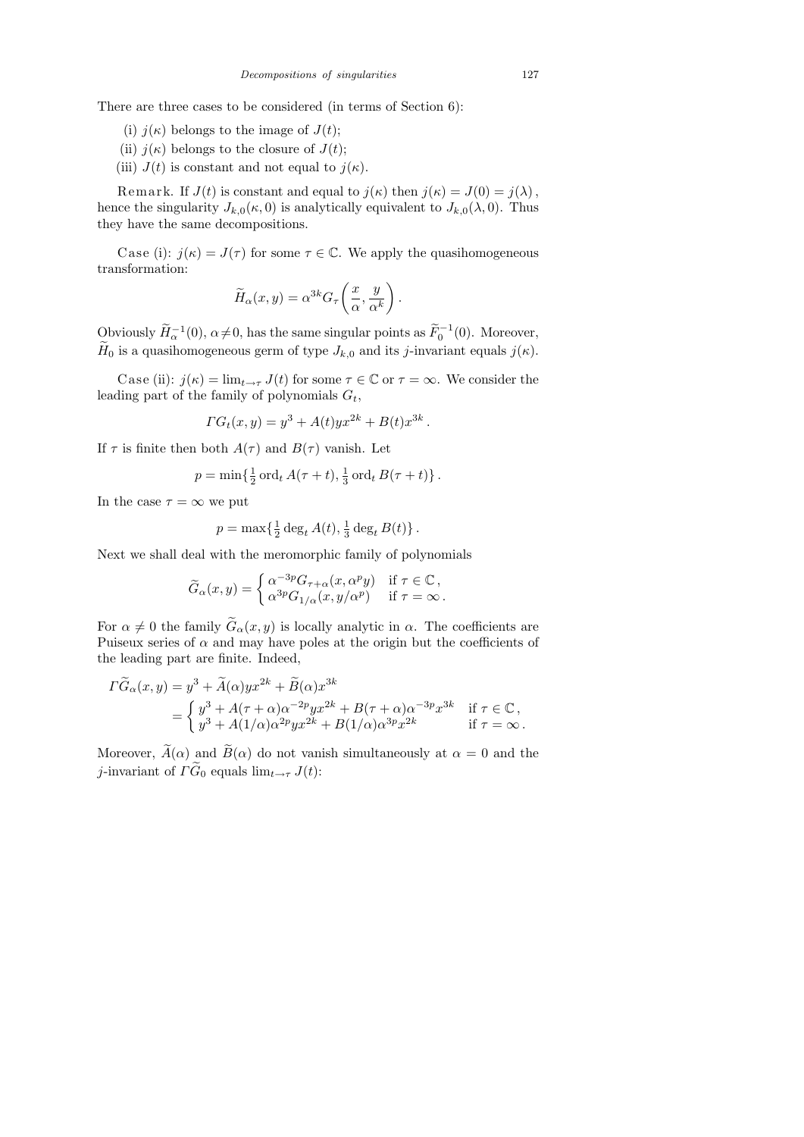There are three cases to be considered (in terms of Section 6):

- (i)  $j(\kappa)$  belongs to the image of  $J(t)$ ;
- (ii)  $j(\kappa)$  belongs to the closure of  $J(t)$ ;
- (iii)  $J(t)$  is constant and not equal to  $j(\kappa)$ .

Remark. If  $J(t)$  is constant and equal to  $j(\kappa)$  then  $j(\kappa) = J(0) = j(\lambda)$ , hence the singularity  $J_{k,0}(\kappa,0)$  is analytically equivalent to  $J_{k,0}(\lambda,0)$ . Thus they have the same decompositions.

Case (i):  $j(\kappa) = J(\tau)$  for some  $\tau \in \mathbb{C}$ . We apply the quasihomogeneous transformation:

$$
\widetilde{H}_{\alpha}(x,y) = \alpha^{3k} G_{\tau}\left(\frac{x}{\alpha}, \frac{y}{\alpha^k}\right)
$$

.

Obviously  $\widetilde{H}^{-1}_{\alpha}(0)$ ,  $\alpha \neq 0$ , has the same singular points as  $\widetilde{F}^{-1}_{0}(0)$ . Moreover,  $\widetilde{H}_0$  is a quasihomogeneous germ of type  $J_{k,0}$  and its j-invariant equals  $j(\kappa)$ .

Case (ii):  $j(\kappa) = \lim_{t \to \tau} J(t)$  for some  $\tau \in \mathbb{C}$  or  $\tau = \infty$ . We consider the leading part of the family of polynomials  $G_t$ ,

$$
\Gamma G_t(x, y) = y^3 + A(t) y x^{2k} + B(t) x^{3k}.
$$

If  $\tau$  is finite then both  $A(\tau)$  and  $B(\tau)$  vanish. Let

$$
p = \min\left\{\frac{1}{2}\operatorname{ord}_t A(\tau+t), \frac{1}{3}\operatorname{ord}_t B(\tau+t)\right\}.
$$

In the case  $\tau = \infty$  we put

$$
p = \max\left\{\frac{1}{2}\deg_t A(t), \frac{1}{3}\deg_t B(t)\right\}.
$$

Next we shall deal with the meromorphic family of polynomials

$$
\widetilde{G}_{\alpha}(x,y) = \begin{cases} \alpha^{-3p} G_{\tau+\alpha}(x,\alpha^p y) & \text{if } \tau \in \mathbb{C} \,, \\ \alpha^{3p} G_{1/\alpha}(x,y/\alpha^p) & \text{if } \tau = \infty \,. \end{cases}
$$

For  $\alpha \neq 0$  the family  $\widetilde{G}_{\alpha}(x, y)$  is locally analytic in  $\alpha$ . The coefficients are Puiseux series of  $\alpha$  and may have poles at the origin but the coefficients of the leading part are finite. Indeed,

$$
\begin{split} \Gamma \widetilde{G}_{\alpha}(x,y) &= y^3 + \widetilde{A}(\alpha)yx^{2k} + \widetilde{B}(\alpha)x^{3k} \\ &= \begin{cases} y^3 + A(\tau + \alpha)\alpha^{-2p}yx^{2k} + B(\tau + \alpha)\alpha^{-3p}x^{3k} & \text{if } \tau \in \mathbb{C} \,, \\ y^3 + A(1/\alpha)\alpha^{2p}yx^{2k} + B(1/\alpha)\alpha^{3p}x^{2k} & \text{if } \tau = \infty \,. \end{cases} \end{split}
$$

Moreover,  $\widetilde{A}(\alpha)$  and  $\widetilde{B}(\alpha)$  do not vanish simultaneously at  $\alpha = 0$  and the j-invariant of  $\tilde{\Gamma G_0}$  equals  $\lim_{t\to\tau} J(t)$ :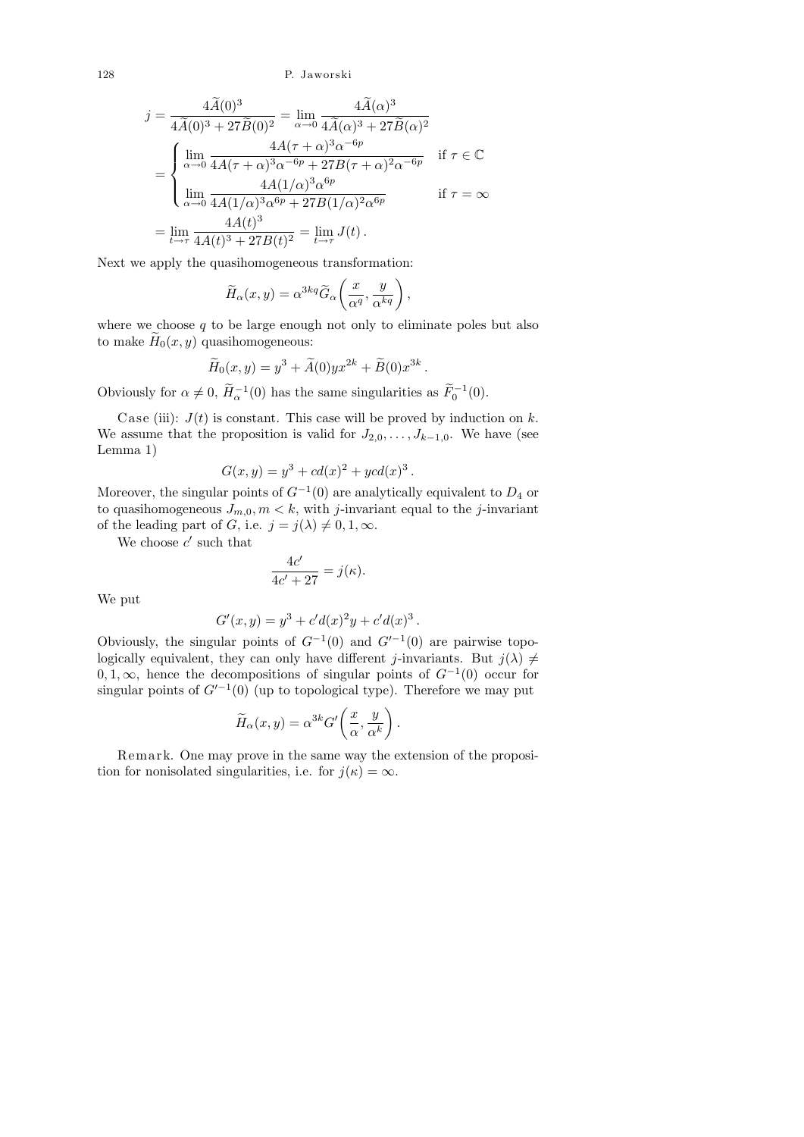$$
j = \frac{4\widetilde{A}(0)^3}{4\widetilde{A}(0)^3 + 27\widetilde{B}(0)^2} = \lim_{\alpha \to 0} \frac{4\widetilde{A}(\alpha)^3}{4\widetilde{A}(\alpha)^3 + 27\widetilde{B}(\alpha)^2}
$$
  
= 
$$
\begin{cases} \lim_{\alpha \to 0} \frac{4A(\tau + \alpha)^3 \alpha^{-6p}}{4A(\tau + \alpha)^3 \alpha^{-6p} + 27B(\tau + \alpha)^2 \alpha^{-6p}} & \text{if } \tau \in \mathbb{C} \\ \lim_{\alpha \to 0} \frac{4A(1/\alpha)^3 \alpha^{6p}}{4A(1/\alpha)^3 \alpha^{6p} + 27B(1/\alpha)^2 \alpha^{6p}} & \text{if } \tau = \infty \end{cases}
$$
  
= 
$$
\lim_{t \to \tau} \frac{4A(t)^3}{4A(t)^3 + 27B(t)^2} = \lim_{t \to \tau} J(t).
$$

Next we apply the quasihomogeneous transformation:

$$
\widetilde{H}_{\alpha}(x,y) = \alpha^{3kq} \widetilde{G}_{\alpha}\left(\frac{x}{\alpha^{q}}, \frac{y}{\alpha^{kq}}\right)
$$

,

.

.

where we choose  $q$  to be large enough not only to eliminate poles but also to make  $\widetilde{H}_0(x, y)$  quasihomogeneous:

$$
\widetilde{H}_0(x,y) = y^3 + \widetilde{A}(0)yx^{2k} + \widetilde{B}(0)x^{3k}.
$$

Obviously for  $\alpha \neq 0$ ,  $\widetilde{H}_{\alpha}^{-1}(0)$  has the same singularities as  $\widetilde{F}_{0}^{-1}(0)$ .

Case (iii):  $J(t)$  is constant. This case will be proved by induction on k. We assume that the proposition is valid for  $J_{2,0}, \ldots, J_{k-1,0}$ . We have (see Lemma 1)

$$
G(x, y) = y^3 + cd(x)^2 + ycd(x)^3
$$

Moreover, the singular points of  $G^{-1}(0)$  are analytically equivalent to  $D_4$  or to quasihomogeneous  $J_{m,0}, m < k$ , with j-invariant equal to the j-invariant of the leading part of G, i.e.  $j = j(\lambda) \neq 0, 1, \infty$ .

We choose  $c'$  such that

$$
\frac{4c'}{4c'+27} = j(\kappa).
$$

We put

$$
G'(x, y) = y3 + c'd(x)2y + c'd(x)3
$$

Obviously, the singular points of  $G^{-1}(0)$  and  $G'^{-1}(0)$  are pairwise topologically equivalent, they can only have different j-invariants. But  $j(\lambda) \neq$  $0, 1, \infty$ , hence the decompositions of singular points of  $G^{-1}(0)$  occur for singular points of  $G'^{-1}(0)$  (up to topological type). Therefore we may put

$$
\widetilde{H}_{\alpha}(x,y) = \alpha^{3k} G' \left( \frac{x}{\alpha}, \frac{y}{\alpha^k} \right).
$$

Remark. One may prove in the same way the extension of the proposition for nonisolated singularities, i.e. for  $j(\kappa) = \infty$ .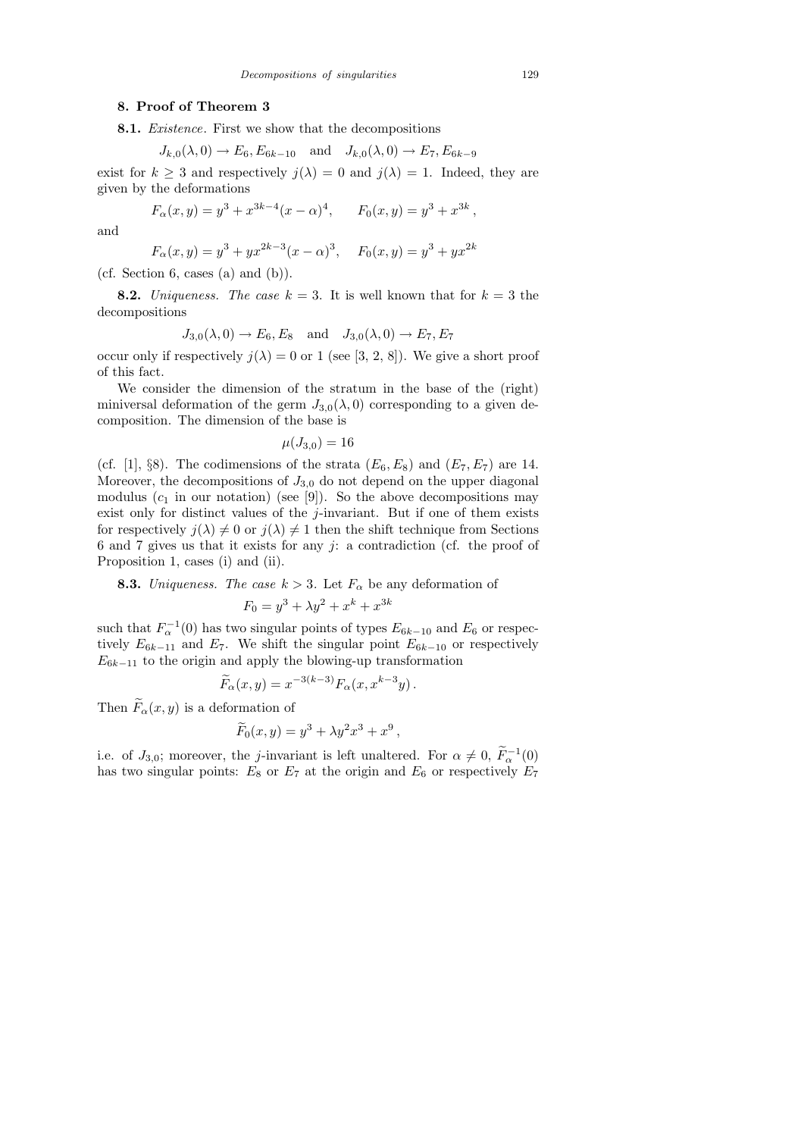## 8. Proof of Theorem 3

8.1. Existence. First we show that the decompositions

$$
J_{k,0}(\lambda,0) \to E_6, E_{6k-10}
$$
 and  $J_{k,0}(\lambda,0) \to E_7, E_{6k-9}$ 

exist for  $k \geq 3$  and respectively  $j(\lambda) = 0$  and  $j(\lambda) = 1$ . Indeed, they are given by the deformations

$$
F_{\alpha}(x, y) = y^3 + x^{3k-4}(x - \alpha)^4
$$
,  $F_0(x, y) = y^3 + x^{3k}$ 

and

$$
F_{\alpha}(x, y) = y^3 + yx^{2k-3}(x - \alpha)^3, \quad F_0(x, y) = y^3 + yx^{2k}
$$

(cf. Section 6, cases (a) and  $(b)$ ).

**8.2.** Uniqueness. The case  $k = 3$ . It is well known that for  $k = 3$  the decompositions

$$
J_{3,0}(\lambda,0) \to E_6, E_8
$$
 and  $J_{3,0}(\lambda,0) \to E_7, E_7$ 

occur only if respectively  $j(\lambda) = 0$  or 1 (see [3, 2, 8]). We give a short proof of this fact.

We consider the dimension of the stratum in the base of the (right) miniversal deformation of the germ  $J_{3,0}(\lambda,0)$  corresponding to a given decomposition. The dimension of the base is

$$
\mu(J_{3,0})=16
$$

(cf. [1], §8). The codimensions of the strata  $(E_6, E_8)$  and  $(E_7, E_7)$  are 14. Moreover, the decompositions of  $J_{3,0}$  do not depend on the upper diagonal modulus  $(c_1$  in our notation) (see [9]). So the above decompositions may exist only for distinct values of the j-invariant. But if one of them exists for respectively  $j(\lambda) \neq 0$  or  $j(\lambda) \neq 1$  then the shift technique from Sections 6 and 7 gives us that it exists for any  $j$ : a contradiction (cf. the proof of Proposition 1, cases (i) and (ii).

**8.3.** Uniqueness. The case  $k > 3$ . Let  $F_{\alpha}$  be any deformation of

$$
F_0 = y^3 + \lambda y^2 + x^k + x^{3k}
$$

such that  $F_{\alpha}^{-1}(0)$  has two singular points of types  $E_{6k-10}$  and  $E_6$  or respectively  $E_{6k-11}$  and  $E_7$ . We shift the singular point  $E_{6k-10}$  or respectively  $E_{6k-11}$  to the origin and apply the blowing-up transformation

$$
\widetilde{F}_{\alpha}(x,y) = x^{-3(k-3)} F_{\alpha}(x, x^{k-3}y).
$$

Then  $\widetilde{F}_{\alpha}(x, y)$  is a deformation of

$$
\widetilde{F}_0(x,y) = y^3 + \lambda y^2 x^3 + x^9
$$

,

i.e. of  $J_{3,0}$ ; moreover, the j-invariant is left unaltered. For  $\alpha \neq 0$ ,  $\tilde{F}_{\alpha}^{-1}(0)$ has two singular points:  $E_8$  or  $E_7$  at the origin and  $E_6$  or respectively  $E_7$ 

,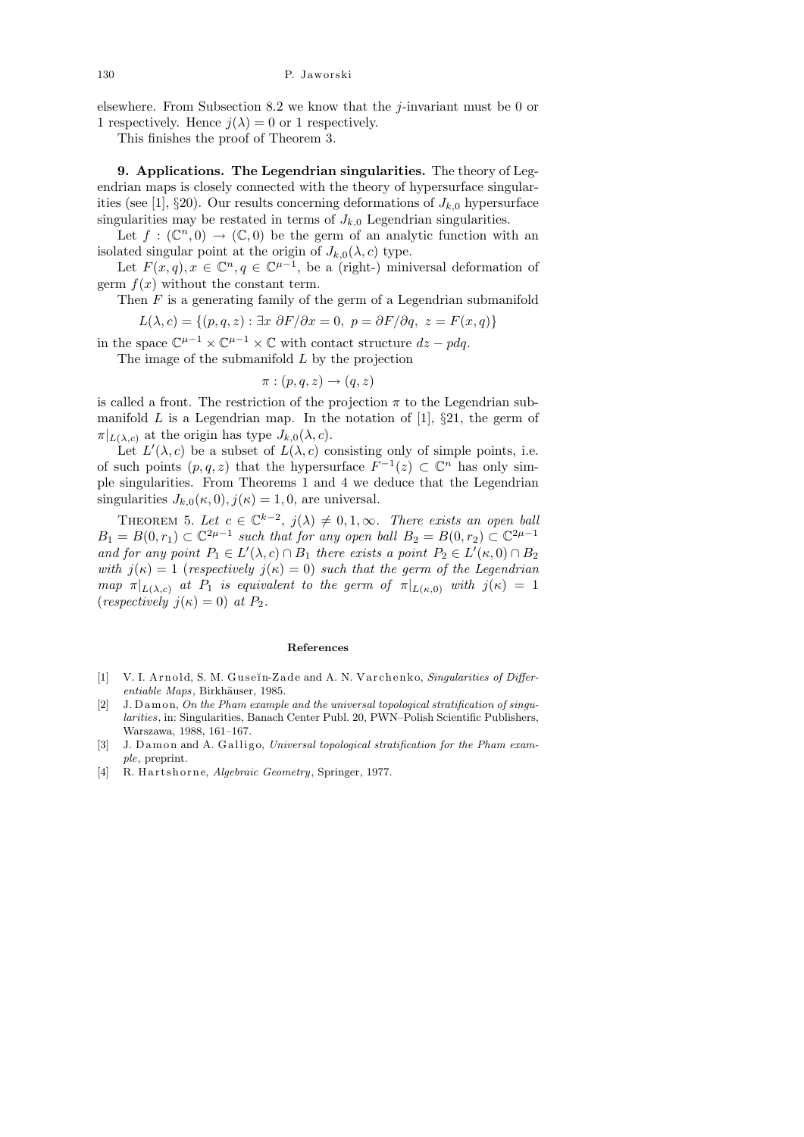elsewhere. From Subsection 8.2 we know that the *j*-invariant must be 0 or 1 respectively. Hence  $j(\lambda) = 0$  or 1 respectively.

This finishes the proof of Theorem 3.

9. Applications. The Legendrian singularities. The theory of Legendrian maps is closely connected with the theory of hypersurface singularities (see [1], §20). Our results concerning deformations of  $J_{k,0}$  hypersurface singularities may be restated in terms of  $J_{k,0}$  Legendrian singularities.

Let  $f: (\mathbb{C}^n,0) \to (\mathbb{C},0)$  be the germ of an analytic function with an isolated singular point at the origin of  $J_{k,0}(\lambda, c)$  type.

Let  $F(x,q), x \in \mathbb{C}^n, q \in \mathbb{C}^{\mu-1}$ , be a (right-) miniversal deformation of germ  $f(x)$  without the constant term.

Then  $F$  is a generating family of the germ of a Legendrian submanifold

 $L(\lambda, c) = \{(p, q, z) : \exists x \ \partial F/\partial x = 0, \ p = \partial F/\partial q, \ z = F(x, q)\}\$ 

in the space  $\mathbb{C}^{\mu-1} \times \mathbb{C}^{\mu-1} \times \mathbb{C}$  with contact structure  $dz - pdq$ .

The image of the submanifold  $L$  by the projection

$$
\pi : (p, q, z) \to (q, z)
$$

is called a front. The restriction of the projection  $\pi$  to the Legendrian submanifold  $L$  is a Legendrian map. In the notation of [1],  $\S 21$ , the germ of  $\pi|_{L(\lambda,c)}$  at the origin has type  $J_{k,0}(\lambda,c)$ .

Let  $L'(\lambda, c)$  be a subset of  $L(\lambda, c)$  consisting only of simple points, i.e. of such points  $(p, q, z)$  that the hypersurface  $F^{-1}(z) \subset \mathbb{C}^n$  has only simple singularities. From Theorems 1 and 4 we deduce that the Legendrian singularities  $J_{k,0}(\kappa,0), j(\kappa) = 1, 0$ , are universal.

THEOREM 5. Let  $c \in \mathbb{C}^{k-2}$ ,  $j(\lambda) \neq 0, 1, \infty$ . There exists an open ball  $B_1 = B(0,r_1) \subset \mathbb{C}^{2\mu-1}$  such that for any open ball  $B_2 = B(0,r_2) \subset \mathbb{C}^{2\mu-1}$ and for any point  $P_1 \in L'(\lambda, c) \cap B_1$  there exists a point  $P_2 \in L'(\kappa, 0) \cap B_2$ with  $j(\kappa) = 1$  (respectively  $j(\kappa) = 0$ ) such that the germ of the Legendrian map  $\pi|_{L(\lambda,c)}$  at  $P_1$  is equivalent to the germ of  $\pi|_{L(\kappa,0)}$  with  $j(\kappa) = 1$ (*respectively*  $j(\kappa) = 0$ ) at  $P_2$ .

#### **References**

- [1] V. I. Arnold, S. M. Guseĭn-Zade and A. N. Varchenko, *Singularities of Differ* $entiable$  *Maps*, Birkhäuser, 1985.
- [2] J. D amon, *On the Pham example and the universal topological stratification of singularities*, in: Singularities, Banach Center Publ. 20, PWN–Polish Scientific Publishers, Warszawa, 1988, 161–167.
- [3] J. D amon and A. Galligo, *Universal topological stratification for the Pham example*, preprint.
- [4] R. Hartshorne, *Algebraic Geometry*, Springer, 1977.